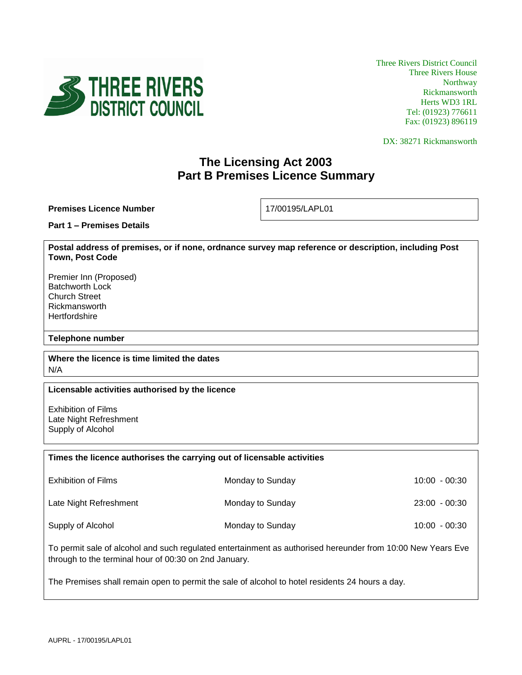

DX: 38271 Rickmansworth

# **The Licensing Act 2003 Part B Premises Licence Summary**

**Premises Licence Number** 17/00195/LAPL01

**Part 1 – Premises Details**

**Postal address of premises, or if none, ordnance survey map reference or description, including Post Town, Post Code**

Premier Inn (Proposed) Batchworth Lock Church Street Rickmansworth **Hertfordshire** 

**Telephone number**

**Where the licence is time limited the dates** N/A

**Licensable activities authorised by the licence** 

Exhibition of Films Late Night Refreshment Supply of Alcohol

# **Times the licence authorises the carrying out of licensable activities**

| Exhibition of Films    | Monday to Sunday | $10:00 - 00:30$ |
|------------------------|------------------|-----------------|
| Late Night Refreshment | Monday to Sunday | $23:00 - 00:30$ |
| Supply of Alcohol      | Monday to Sunday | $10:00 - 00:30$ |

To permit sale of alcohol and such regulated entertainment as authorised hereunder from 10:00 New Years Eve through to the terminal hour of 00:30 on 2nd January.

The Premises shall remain open to permit the sale of alcohol to hotel residents 24 hours a day.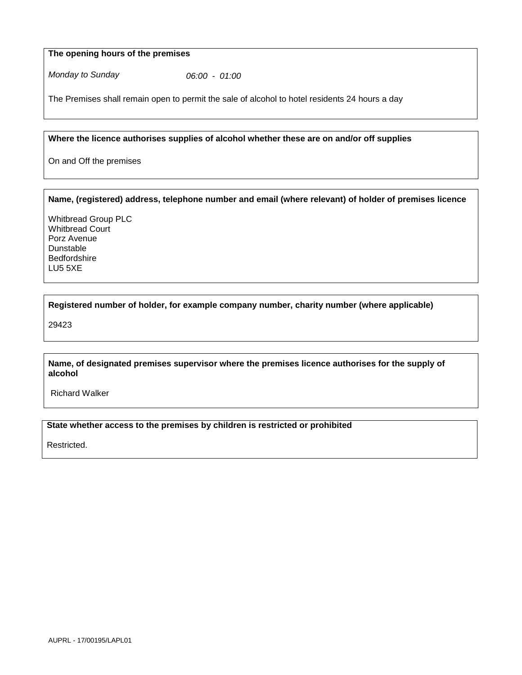### **The opening hours of the premises**

*Monday to Sunday 06:00 - 01:00* 

The Premises shall remain open to permit the sale of alcohol to hotel residents 24 hours a day

## **Where the licence authorises supplies of alcohol whether these are on and/or off supplies**

On and Off the premises

## **Name, (registered) address, telephone number and email (where relevant) of holder of premises licence**

Whitbread Group PLC Whitbread Court Porz Avenue Dunstable Bedfordshire LU5 5XE

# **Registered number of holder, for example company number, charity number (where applicable)**

29423

**Name, of designated premises supervisor where the premises licence authorises for the supply of alcohol**

Richard Walker

## **State whether access to the premises by children is restricted or prohibited**

Restricted.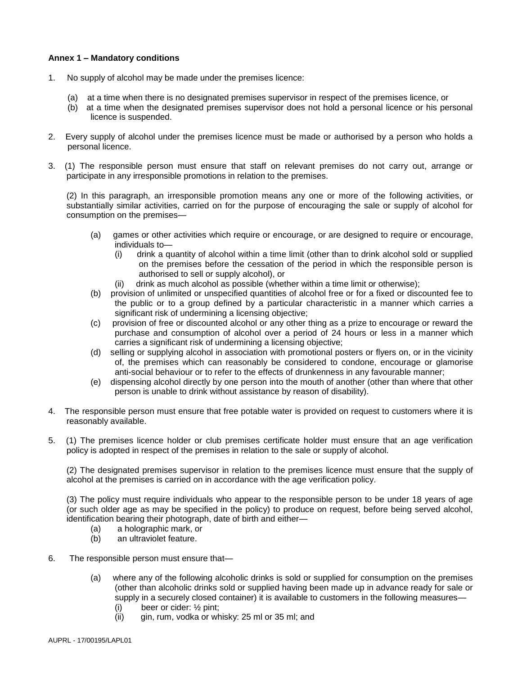## **Annex 1 – Mandatory conditions**

- 1. No supply of alcohol may be made under the premises licence:
	- (a) at a time when there is no designated premises supervisor in respect of the premises licence, or
	- (b) at a time when the designated premises supervisor does not hold a personal licence or his personal licence is suspended.
- 2. Every supply of alcohol under the premises licence must be made or authorised by a person who holds a personal licence.
- 3. (1) The responsible person must ensure that staff on relevant premises do not carry out, arrange or participate in any irresponsible promotions in relation to the premises.

(2) In this paragraph, an irresponsible promotion means any one or more of the following activities, or substantially similar activities, carried on for the purpose of encouraging the sale or supply of alcohol for consumption on the premises—

- (a) games or other activities which require or encourage, or are designed to require or encourage, individuals to—
	- (i) drink a quantity of alcohol within a time limit (other than to drink alcohol sold or supplied on the premises before the cessation of the period in which the responsible person is authorised to sell or supply alcohol), or
	- (ii) drink as much alcohol as possible (whether within a time limit or otherwise);
- (b) provision of unlimited or unspecified quantities of alcohol free or for a fixed or discounted fee to the public or to a group defined by a particular characteristic in a manner which carries a significant risk of undermining a licensing objective;
- (c) provision of free or discounted alcohol or any other thing as a prize to encourage or reward the purchase and consumption of alcohol over a period of 24 hours or less in a manner which carries a significant risk of undermining a licensing objective;
- (d) selling or supplying alcohol in association with promotional posters or flyers on, or in the vicinity of, the premises which can reasonably be considered to condone, encourage or glamorise anti-social behaviour or to refer to the effects of drunkenness in any favourable manner;
- (e) dispensing alcohol directly by one person into the mouth of another (other than where that other person is unable to drink without assistance by reason of disability).
- 4. The responsible person must ensure that free potable water is provided on request to customers where it is reasonably available.
- 5. (1) The premises licence holder or club premises certificate holder must ensure that an age verification policy is adopted in respect of the premises in relation to the sale or supply of alcohol.

(2) The designated premises supervisor in relation to the premises licence must ensure that the supply of alcohol at the premises is carried on in accordance with the age verification policy.

(3) The policy must require individuals who appear to the responsible person to be under 18 years of age (or such older age as may be specified in the policy) to produce on request, before being served alcohol, identification bearing their photograph, date of birth and either—

- (a) a holographic mark, or
- (b) an ultraviolet feature.
- 6. The responsible person must ensure that—
	- (a) where any of the following alcoholic drinks is sold or supplied for consumption on the premises (other than alcoholic drinks sold or supplied having been made up in advance ready for sale or supply in a securely closed container) it is available to customers in the following measures—
		- (i) beer or cider: ½ pint;
		- (ii) gin, rum, vodka or whisky: 25 ml or 35 ml; and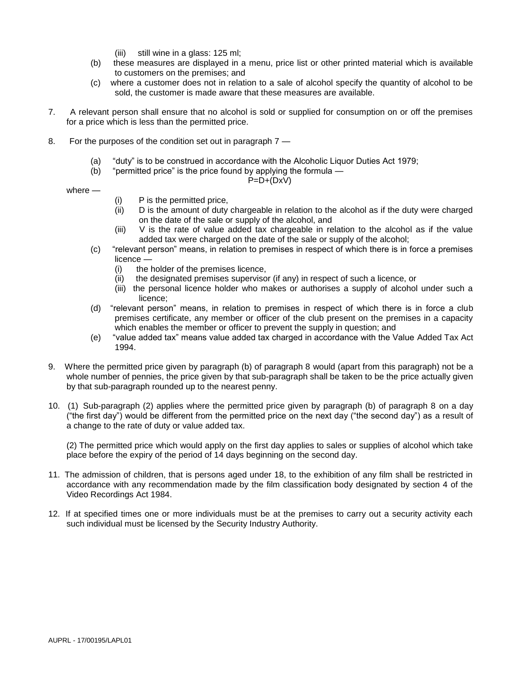- (iii) still wine in a glass: 125 ml;
- (b) these measures are displayed in a menu, price list or other printed material which is available to customers on the premises; and
- (c) where a customer does not in relation to a sale of alcohol specify the quantity of alcohol to be sold, the customer is made aware that these measures are available.
- 7. A relevant person shall ensure that no alcohol is sold or supplied for consumption on or off the premises for a price which is less than the permitted price.
- 8. For the purposes of the condition set out in paragraph 7
	- (a) "duty" is to be construed in accordance with the Alcoholic Liquor Duties Act 1979;
	- (b) "permitted price" is the price found by applying the formula —

#### $P=D+(DxV)$

where —

- (i) P is the permitted price,
- (ii) D is the amount of duty chargeable in relation to the alcohol as if the duty were charged on the date of the sale or supply of the alcohol, and
- (iii) V is the rate of value added tax chargeable in relation to the alcohol as if the value added tax were charged on the date of the sale or supply of the alcohol;
- (c) "relevant person" means, in relation to premises in respect of which there is in force a premises licence -
	- (i) the holder of the premises licence,
	- (ii) the designated premises supervisor (if any) in respect of such a licence, or
	- (iii) the personal licence holder who makes or authorises a supply of alcohol under such a licence;
- (d) "relevant person" means, in relation to premises in respect of which there is in force a club premises certificate, any member or officer of the club present on the premises in a capacity which enables the member or officer to prevent the supply in question; and
- (e) "value added tax" means value added tax charged in accordance with the Value Added Tax Act 1994.
- 9. Where the permitted price given by paragraph (b) of paragraph 8 would (apart from this paragraph) not be a whole number of pennies, the price given by that sub-paragraph shall be taken to be the price actually given by that sub-paragraph rounded up to the nearest penny.
- 10. (1) Sub-paragraph (2) applies where the permitted price given by paragraph (b) of paragraph 8 on a day ("the first day") would be different from the permitted price on the next day ("the second day") as a result of a change to the rate of duty or value added tax.

(2) The permitted price which would apply on the first day applies to sales or supplies of alcohol which take place before the expiry of the period of 14 days beginning on the second day.

- 11. The admission of children, that is persons aged under 18, to the exhibition of any film shall be restricted in accordance with any recommendation made by the film classification body designated by section 4 of the Video Recordings Act 1984.
- 12. If at specified times one or more individuals must be at the premises to carry out a security activity each such individual must be licensed by the Security Industry Authority.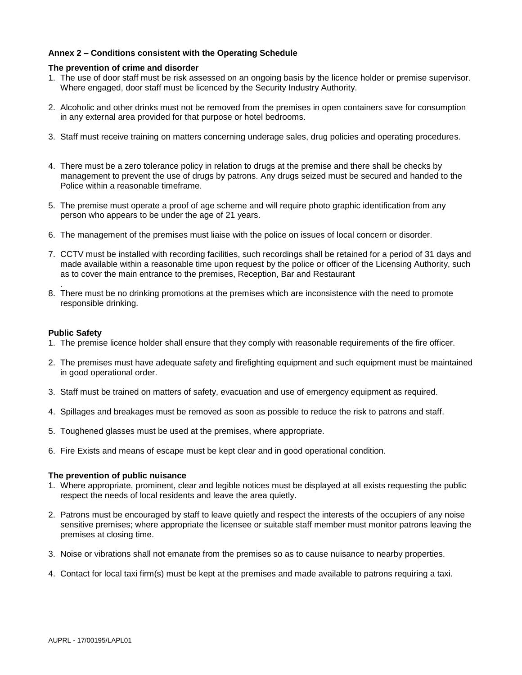# **Annex 2 – Conditions consistent with the Operating Schedule**

#### **The prevention of crime and disorder**

- 1. The use of door staff must be risk assessed on an ongoing basis by the licence holder or premise supervisor. Where engaged, door staff must be licenced by the Security Industry Authority.
- 2. Alcoholic and other drinks must not be removed from the premises in open containers save for consumption in any external area provided for that purpose or hotel bedrooms.
- 3. Staff must receive training on matters concerning underage sales, drug policies and operating procedures.
- 4. There must be a zero tolerance policy in relation to drugs at the premise and there shall be checks by management to prevent the use of drugs by patrons. Any drugs seized must be secured and handed to the Police within a reasonable timeframe.
- 5. The premise must operate a proof of age scheme and will require photo graphic identification from any person who appears to be under the age of 21 years.
- 6. The management of the premises must liaise with the police on issues of local concern or disorder.
- 7. CCTV must be installed with recording facilities, such recordings shall be retained for a period of 31 days and made available within a reasonable time upon request by the police or officer of the Licensing Authority, such as to cover the main entrance to the premises, Reception, Bar and Restaurant
- 8. There must be no drinking promotions at the premises which are inconsistence with the need to promote responsible drinking.

## **Public Safety**

.

- 1. The premise licence holder shall ensure that they comply with reasonable requirements of the fire officer.
- 2. The premises must have adequate safety and firefighting equipment and such equipment must be maintained in good operational order.
- 3. Staff must be trained on matters of safety, evacuation and use of emergency equipment as required.
- 4. Spillages and breakages must be removed as soon as possible to reduce the risk to patrons and staff.
- 5. Toughened glasses must be used at the premises, where appropriate.
- 6. Fire Exists and means of escape must be kept clear and in good operational condition.

## **The prevention of public nuisance**

- 1. Where appropriate, prominent, clear and legible notices must be displayed at all exists requesting the public respect the needs of local residents and leave the area quietly.
- 2. Patrons must be encouraged by staff to leave quietly and respect the interests of the occupiers of any noise sensitive premises; where appropriate the licensee or suitable staff member must monitor patrons leaving the premises at closing time.
- 3. Noise or vibrations shall not emanate from the premises so as to cause nuisance to nearby properties.
- 4. Contact for local taxi firm(s) must be kept at the premises and made available to patrons requiring a taxi.